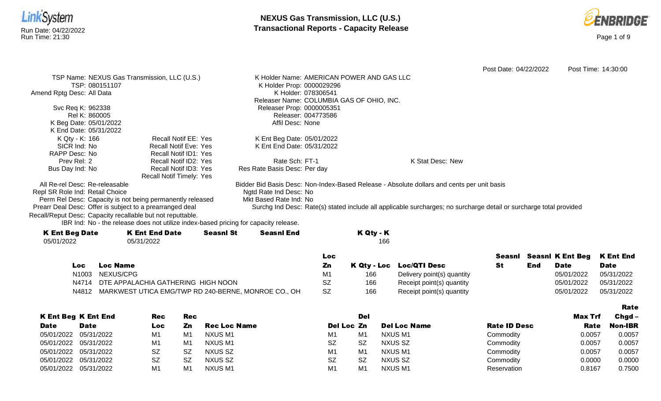



|                                              |                                                                                                                                                                                                                                                           |                                                                                                                                                               |                                                                                                                                                                                                                                                                                                                              |                                                                                                                | Post Time: 14:30:00                                                                                                                                                    |
|----------------------------------------------|-----------------------------------------------------------------------------------------------------------------------------------------------------------------------------------------------------------------------------------------------------------|---------------------------------------------------------------------------------------------------------------------------------------------------------------|------------------------------------------------------------------------------------------------------------------------------------------------------------------------------------------------------------------------------------------------------------------------------------------------------------------------------|----------------------------------------------------------------------------------------------------------------|------------------------------------------------------------------------------------------------------------------------------------------------------------------------|
| TSP Name: NEXUS Gas Transmission, LLC (U.S.) |                                                                                                                                                                                                                                                           |                                                                                                                                                               |                                                                                                                                                                                                                                                                                                                              |                                                                                                                |                                                                                                                                                                        |
|                                              |                                                                                                                                                                                                                                                           |                                                                                                                                                               |                                                                                                                                                                                                                                                                                                                              |                                                                                                                |                                                                                                                                                                        |
|                                              |                                                                                                                                                                                                                                                           |                                                                                                                                                               |                                                                                                                                                                                                                                                                                                                              |                                                                                                                |                                                                                                                                                                        |
|                                              |                                                                                                                                                                                                                                                           |                                                                                                                                                               |                                                                                                                                                                                                                                                                                                                              |                                                                                                                |                                                                                                                                                                        |
|                                              |                                                                                                                                                                                                                                                           |                                                                                                                                                               |                                                                                                                                                                                                                                                                                                                              |                                                                                                                |                                                                                                                                                                        |
|                                              |                                                                                                                                                                                                                                                           |                                                                                                                                                               |                                                                                                                                                                                                                                                                                                                              |                                                                                                                |                                                                                                                                                                        |
|                                              | Affil Desc: None                                                                                                                                                                                                                                          |                                                                                                                                                               |                                                                                                                                                                                                                                                                                                                              |                                                                                                                |                                                                                                                                                                        |
|                                              |                                                                                                                                                                                                                                                           |                                                                                                                                                               |                                                                                                                                                                                                                                                                                                                              |                                                                                                                |                                                                                                                                                                        |
| <b>Recall Notif EE: Yes</b>                  |                                                                                                                                                                                                                                                           |                                                                                                                                                               |                                                                                                                                                                                                                                                                                                                              |                                                                                                                |                                                                                                                                                                        |
| <b>Recall Notif Eve: Yes</b>                 |                                                                                                                                                                                                                                                           |                                                                                                                                                               |                                                                                                                                                                                                                                                                                                                              |                                                                                                                |                                                                                                                                                                        |
| <b>Recall Notif ID1: Yes</b>                 |                                                                                                                                                                                                                                                           |                                                                                                                                                               |                                                                                                                                                                                                                                                                                                                              |                                                                                                                |                                                                                                                                                                        |
| Recall Notif ID2: Yes                        | Rate Sch: FT-1                                                                                                                                                                                                                                            |                                                                                                                                                               |                                                                                                                                                                                                                                                                                                                              |                                                                                                                |                                                                                                                                                                        |
|                                              |                                                                                                                                                                                                                                                           |                                                                                                                                                               |                                                                                                                                                                                                                                                                                                                              |                                                                                                                |                                                                                                                                                                        |
| <b>Recall Notif Timely: Yes</b>              |                                                                                                                                                                                                                                                           |                                                                                                                                                               |                                                                                                                                                                                                                                                                                                                              |                                                                                                                |                                                                                                                                                                        |
|                                              |                                                                                                                                                                                                                                                           |                                                                                                                                                               |                                                                                                                                                                                                                                                                                                                              |                                                                                                                |                                                                                                                                                                        |
|                                              |                                                                                                                                                                                                                                                           |                                                                                                                                                               |                                                                                                                                                                                                                                                                                                                              |                                                                                                                |                                                                                                                                                                        |
|                                              |                                                                                                                                                                                                                                                           |                                                                                                                                                               |                                                                                                                                                                                                                                                                                                                              |                                                                                                                |                                                                                                                                                                        |
|                                              |                                                                                                                                                                                                                                                           |                                                                                                                                                               |                                                                                                                                                                                                                                                                                                                              |                                                                                                                |                                                                                                                                                                        |
|                                              |                                                                                                                                                                                                                                                           |                                                                                                                                                               |                                                                                                                                                                                                                                                                                                                              |                                                                                                                |                                                                                                                                                                        |
|                                              |                                                                                                                                                                                                                                                           |                                                                                                                                                               |                                                                                                                                                                                                                                                                                                                              |                                                                                                                |                                                                                                                                                                        |
|                                              |                                                                                                                                                                                                                                                           |                                                                                                                                                               |                                                                                                                                                                                                                                                                                                                              |                                                                                                                |                                                                                                                                                                        |
|                                              |                                                                                                                                                                                                                                                           |                                                                                                                                                               |                                                                                                                                                                                                                                                                                                                              |                                                                                                                |                                                                                                                                                                        |
|                                              |                                                                                                                                                                                                                                                           |                                                                                                                                                               |                                                                                                                                                                                                                                                                                                                              |                                                                                                                |                                                                                                                                                                        |
|                                              |                                                                                                                                                                                                                                                           |                                                                                                                                                               |                                                                                                                                                                                                                                                                                                                              |                                                                                                                | <b>K Ent End</b>                                                                                                                                                       |
| 05/31/2022                                   | Recall Notif ID3: Yes<br>Perm Rel Desc: Capacity is not being permanently released<br>Prearr Deal Desc: Offer is subject to a prearranged deal<br>Recall/Reput Desc: Capacity recallable but not reputtable.<br><b>K Ent End Date</b><br><b>Seasnl St</b> | Ngtd Rate Ind Desc: No<br>Mkt Based Rate Ind: No<br>IBR Ind: No - the release does not utilize index-based pricing for capacity release.<br><b>Seasnl End</b> | K Holder Name: AMERICAN POWER AND GAS LLC<br>K Holder Prop: 0000029296<br>K Holder: 078306541<br>Releaser Name: COLUMBIA GAS OF OHIO, INC.<br>Releaser Prop: 0000005351<br>Releaser: 004773586<br>K Ent Beg Date: 05/01/2022<br>K Ent End Date: 05/31/2022<br>Res Rate Basis Desc: Per day<br>K Qty - K<br>166<br><b>Loc</b> | K Stat Desc: New<br>Bidder Bid Basis Desc: Non-Index-Based Release - Absolute dollars and cents per unit basis | Post Date: 04/22/2022<br>Surchg Ind Desc: Rate(s) stated include all applicable surcharges; no surcharge detail or surcharge total provided<br>Seasnl Seasnl K Ent Beg |

| Loc   | Loc Name                                            | Ζn        |     | K Qty - Loc Loc/QTI Desc   | End | <b>Date</b> | Date       |
|-------|-----------------------------------------------------|-----------|-----|----------------------------|-----|-------------|------------|
|       | N1003 NEXUS/CPG                                     | M1        | 166 | Delivery point(s) quantity |     | 05/01/2022  | 05/31/2022 |
|       | N4714 DTE APPALACHIA GATHERING HIGH NOON            | <b>SZ</b> | 166 | Receipt point(s) quantity  |     | 05/01/2022  | 05/31/2022 |
| N4812 | MARKWEST UTICA EMG/TWP RD 240-BERNE, MONROE CO., OH |           | 166 | Receipt point(s) quantity  |     | 05/01/2022  | 05/31/2022 |

|                       |                            |           |     |                     |                |                |                     |                     |                | <b>Rate</b>    |
|-----------------------|----------------------------|-----------|-----|---------------------|----------------|----------------|---------------------|---------------------|----------------|----------------|
|                       | <b>K Ent Beg K Ent End</b> | Rec       | Rec |                     |                | Del            |                     |                     | <b>Max Trf</b> | $Chgd -$       |
| <b>Date</b>           | <b>Date</b>                | Loc       | Zn  | <b>Rec Loc Name</b> | Del Loc Zn     |                | <b>Del Loc Name</b> | <b>Rate ID Desc</b> | Rate           | <b>Non-IBR</b> |
|                       | 05/01/2022 05/31/2022      | M1        | M1  | NXUS M1             | M1             | M1             | NXUS M1             | Commodity           | 0.0057         | 0.0057         |
|                       | 05/01/2022 05/31/2022      | M1        | M1  | NXUS M1             | <b>SZ</b>      | <b>SZ</b>      | NXUS SZ             | Commodity           | 0.0057         | 0.0057         |
| 05/01/2022 05/31/2022 |                            | SZ        | .SZ | NXUS SZ             | M1             | M1             | NXUS M1             | Commodity           | 0.0057         | 0.0057         |
|                       | 05/01/2022 05/31/2022      | <b>SZ</b> | -SZ | NXUS SZ             | <b>SZ</b>      | <b>SZ</b>      | NXUS SZ             | Commodity           | 0.0000         | 0.0000         |
| 05/01/2022 05/31/2022 |                            | M1        | M1  | NXUS M1             | M <sub>1</sub> | M <sub>1</sub> | NXUS M1             | Reservation         | 0.8167         | 0.7500         |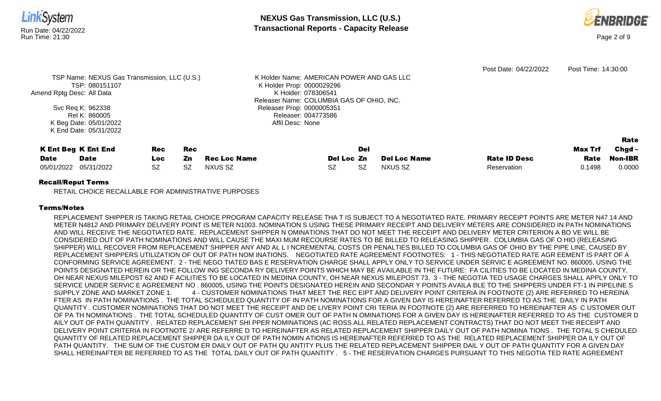

### Recall/Reput Terms

RETAIL CHOICE RECALLABLE FOR ADMINISTRATIVE PURPOSES

## Terms/Notes

REPLACEMENT SHIPPER IS TAKING RETAIL CHOICE PROGRAM CAPACITY RELEASE THA T IS SUBJECT TO A NEGOTIATED RATE. PRIMARY RECEIPT POINTS ARE METER N47 14 AND METER N4812 AND PRIMARY DELIVERY POINT IS METER N1003. NOMINATION S USING THESE PRIMARY RECEIPT AND DELIVERY METERS ARE CONSIDERED IN PATH NOMINATIONS AND WILL RECEIVE THE NEGOTIATED RATE. REPLACEMENT SHIPPER N OMINATIONS THAT DO NOT MEET THE RECEIPT AND DELIVERY METER CRITERION A BO VE WILL BE CONSIDERED OUT OF PATH NOMINATIONS AND WILL CAUSE THE MAXI MUM RECOURSE RATES TO BE BILLED TO RELEASING SHIPPER. COLUMBIA GAS OF O HIO (RELEASING SHIPPER) WILL RECOVER FROM REPLACEMENT SHIPPER ANY AND AL L I NCREMENTAL COSTS OR PENALTIES BILLED TO COLUMBIA GAS OF OHIO BY THE PIPE LINE, CAUSED BY REPLACEMENT SHIPPERS UTILIZATION OF OUT OF PATH NOM INATIONS. NEGOTIATED RATE AGREEMENT FOOTNOTES: 1 - THIS NEGOTIATED RATE AGR EEMENT IS PART OF A CONFORMING SERVICE AGREEMENT. 2 - THE NEGO TIATED BAS E RESERVATION CHARGE SHALL APPLY ONLY TO SERVICE UNDER SERVIC E AGREEMENT NO. 860005, USING THE POINTS DESIGNATED HEREIN OR THE FOLLOW ING SECONDA RY DELIVERY POINTS WHICH MAY BE AVAILABLE IN THE FUTURE: FA CILITIES TO BE LOCATED IN MEDINA COUNTY, OH NEAR NEXUS MILEPOST 62 AND F ACILITIES TO BE LOCATED IN MEDINA COUNTY, OH NEAR NEXUS MILEPOST 73. 3 - THE NEGOTIA TED USAGE CHARGES SHALL APPLY ONLY TO SERVICE UNDER SERVIC E AGREEMENT NO . 860005, USING THE POINTS DESIGNATED HEREIN AND SECONDAR Y POINTS AVAILA BLE TO THE SHIPPERS UNDER FT-1 IN PIPELINE S SUPPLY ZONE AND MARKET ZONE 1. 4 - CUSTOMER NOMINATIONS THAT MEET THE REC EIPT AND DELIVERY POINT CRITERIA IN FOOTNOTE (2) ARE REFERRED TO HEREINA FTER AS IN PATH NOMINATIONS . THE TOTAL SCHEDULED QUANTITY OF IN PATH NOMINATIONS FOR A GIVEN DAY IS HEREINAFTER REFERRED TO AS THE DAILY IN PATH QUANTITY . CUSTOMER NOMINATIONS THAT DO NOT MEET THE RECEIPT AND DE LIVERY POINT CRI TERIA IN FOOTNOTE (2) ARE REFERRED TO HEREINAFTER AS C USTOMER OUT OF PA TH NOMINATIONS . THE TOTAL SCHEDULED QUANTITY OF CUST OMER OUT OF PATH N OMINATIONS FOR A GIVEN DAY IS HEREINAFTER REFERRED TO AS THE CUSTOMER D AILY OUT OF PATH QUANTITY . RELATED REPLACEMENT SHI PPER NOMINATIONS (AC ROSS ALL RELATED REPLACEMENT CONTRACTS) THAT DO NOT MEET THE RECEIPT AND DELIVERY POINT CRITERIA IN FOOTNOTE 2/ ARE REFERRE D TO HEREINAFTER AS RELATED REPLACEMENT SHIPPER DAILY OUT OF PATH NOMINA TIONS . THE TOTAL S CHEDULED QUANTITY OF RELATED REPLACEMENT SHIPPER DA ILY OUT OF PATH NOMIN ATIONS IS HEREINAFTER REFERRED TO AS THE RELATED REPLACEMENT SHIPPER DA ILY OUT OF PATH QUANTITY. THE SUM OF THE CUSTOM ER DAILY OUT OF PATH QU ANTITY PLUS THE RELATED REPLACEMENT SHIPPER DAIL Y OUT OF PATH QUANTITY FOR A GIVEN DAY SHALL HEREINAFTER BE REFERRED TO AS THE TOTAL DAILY OUT OF PATH QUANTITY . 5 - THE RESERVATION CHARGES PURSUANT TO THIS NEGOTIA TED RATE AGREEMENT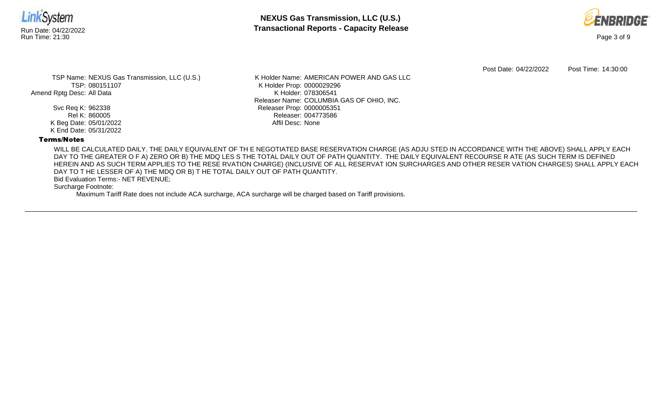

**NEXUS Gas Transmission, LLC (U.S.)** Run Date: 04/22/2022 **Transactional Reports - Capacity Release**



Post Date: 04/22/2022 Post Time: 14:30:00

TSP Name: NEXUS Gas Transmission, LLC (U.S.) TSP: 080151107 Amend Rptg Desc: All Data

> Svc Req K: 962338 Rel K: 860005 K Beg Date: 05/01/2022 K End Date: 05/31/2022

K Holder Name: AMERICAN POWER AND GAS LLC K Holder Prop: 0000029296 K Holder: 078306541 Releaser Name: COLUMBIA GAS OF OHIO, INC. Releaser Prop: 0000005351 Releaser: 004773586 Affil Desc: None

## Terms/Notes

WILL BE CALCULATED DAILY. THE DAILY EQUIVALENT OF TH E NEGOTIATED BASE RESERVATION CHARGE (AS ADJU STED IN ACCORDANCE WITH THE ABOVE) SHALL APPLY EACH DAY TO THE GREATER O F A) ZERO OR B) THE MDQ LES S THE TOTAL DAILY OUT OF PATH QUANTITY. THE DAILY EQUIVALENT RECOURSE R ATE (AS SUCH TERM IS DEFINED HEREIN AND AS SUCH TERM APPLIES TO THE RESE RVATION CHARGE) (INCLUSIVE OF ALL RESERVAT ION SURCHARGES AND OTHER RESER VATION CHARGES) SHALL APPLY EACH DAY TO T HE LESSER OF A) THE MDQ OR B) T HE TOTAL DAILY OUT OF PATH QUANTITY.

Bid Evaluation Terms:- NET REVENUE;

Surcharge Footnote:

Maximum Tariff Rate does not include ACA surcharge, ACA surcharge will be charged based on Tariff provisions.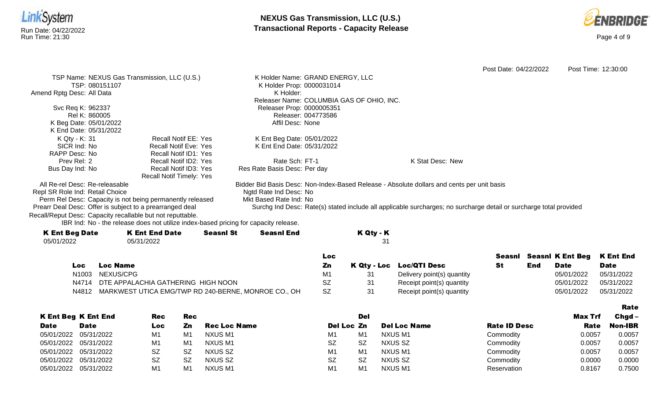



Rate

Post Date: 04/22/2022 Post Time: 12:30:00 TSP Name: NEXUS Gas Transmission, LLC (U.S.) TSP: 080151107 Amend Rptg Desc: All Data Svc Req K: 962337 Rel K: 860005 K Beg Date: 05/01/2022 K End Date: 05/31/2022 K Holder Name: GRAND ENERGY, LLC K Holder Prop: 0000031014 K Holder: Releaser Name: COLUMBIA GAS OF OHIO, INC. Releaser Prop: 0000005351 Releaser: 004773586 Affil Desc: None K Qty - K: 31 SICR Ind: No RAPP Desc: No Prev Rel: 2 Bus Day Ind: No Recall Notif EE: Yes Recall Notif Eve: Yes Recall Notif ID1: Yes Recall Notif ID2: Yes Recall Notif ID3: Yes Recall Notif Timely: Yes K Ent Beg Date: 05/01/2022 K Ent End Date: 05/31/2022 Rate Sch: FT-1 Res Rate Basis Desc: Per day K Stat Desc: New All Re-rel Desc: Re-releasable Repl SR Role Ind: Retail Choice Perm Rel Desc: Capacity is not being permanently released Prearr Deal Desc: Offer is subject to a prearranged deal Bidder Bid Basis Desc: Non-Index-Based Release - Absolute dollars and cents per unit basis Ngtd Rate Ind Desc: No Mkt Based Rate Ind: No Surchg Ind Desc: Rate(s) stated include all applicable surcharges; no surcharge detail or surcharge total provided

Recall/Reput Desc: Capacity recallable but not reputtable.

IBR Ind: No - the release does not utilize index-based pricing for capacity release.

| <b>K Ent Beg Date</b> | <b>K Ent End Date</b> | <b>Seasnl St</b> | <b>Seasnl End</b> | K Qty - K |
|-----------------------|-----------------------|------------------|-------------------|-----------|
| 05/01/2022            | 05/31/2022            |                  |                   |           |
|                       |                       |                  |                   |           |

|      |                                                           | Loc |                            | Seasnl |     | Seasni K Ent Beg K Ent End |             |
|------|-----------------------------------------------------------|-----|----------------------------|--------|-----|----------------------------|-------------|
| LOC. | Loc Name                                                  | Zn  | K Qty - Loc Loc/QTI Desc   |        | End | <b>Date</b>                | <b>Date</b> |
|      | N1003 NEXUS/CPG                                           |     | Delivery point(s) quantity |        |     | 05/01/2022                 | 05/31/2022  |
|      | N4714 DTE APPALACHIA GATHERING HIGH NOON                  |     | Receipt point(s) quantity  |        |     | 05/01/2022                 | 05/31/2022  |
|      | N4812 MARKWEST UTICA EMG/TWP RD 240-BERNE, MONROE CO., OH | SZ  | Receipt point(s) quantity  |        |     | 05/01/2022                 | 05/31/2022  |

|             |                            |                |                |                     |                |           |                     |                     |         | --------       |
|-------------|----------------------------|----------------|----------------|---------------------|----------------|-----------|---------------------|---------------------|---------|----------------|
|             | <b>K Ent Beg K Ent End</b> | Rec            | <b>Rec</b>     |                     |                | Del       |                     |                     | Max Trf | $Chgd -$       |
| <b>Date</b> | <b>Date</b>                | Loc            | Zn             | <b>Rec Loc Name</b> | Del Loc Zn     |           | <b>Del Loc Name</b> | <b>Rate ID Desc</b> | Rate    | <b>Non-IBR</b> |
|             | 05/01/2022 05/31/2022      | M1             | M1             | NXUS M1             | M <sub>1</sub> | M1        | NXUS M1             | Commodity           | 0.0057  | 0.0057         |
|             | 05/01/2022 05/31/2022      | M1             | M <sub>1</sub> | NXUS M1             | <b>SZ</b>      | <b>SZ</b> | NXUS SZ             | Commodity           | 0.0057  | 0.0057         |
|             | 05/01/2022 05/31/2022      | SZ             | <b>SZ</b>      | NXUS SZ             | M1             | M1        | NXUS M1             | Commodity           | 0.0057  | 0.0057         |
|             | 05/01/2022 05/31/2022      | SZ             | <b>SZ</b>      | NXUS SZ             | <b>SZ</b>      | <b>SZ</b> | NXUS SZ             | Commodity           | 0.0000  | 0.0000         |
|             | 05/01/2022 05/31/2022      | M <sub>1</sub> | M <sub>1</sub> | NXUS M1             | M <sub>1</sub> | M1        | <b>NXUS M1</b>      | Reservation         | 0.8167  | 0.7500         |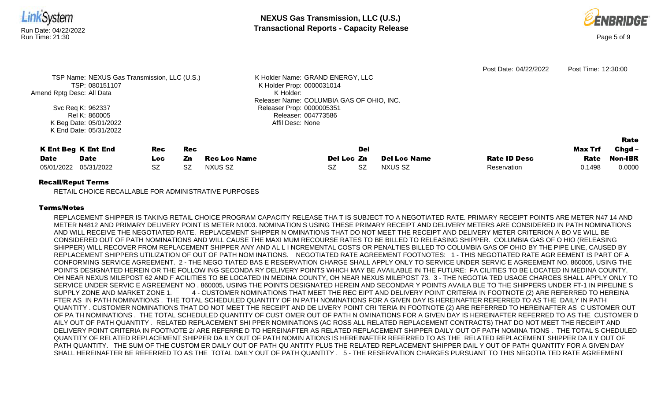

#### Recall/Reput Terms

RETAIL CHOICE RECALLABLE FOR ADMINISTRATIVE PURPOSES

### Terms/Notes

REPLACEMENT SHIPPER IS TAKING RETAIL CHOICE PROGRAM CAPACITY RELEASE THA T IS SUBJECT TO A NEGOTIATED RATE. PRIMARY RECEIPT POINTS ARE METER N47 14 AND METER N4812 AND PRIMARY DELIVERY POINT IS METER N1003. NOMINATION S USING THESE PRIMARY RECEIPT AND DELIVERY METERS ARE CONSIDERED IN PATH NOMINATIONS AND WILL RECEIVE THE NEGOTIATED RATE. REPLACEMENT SHIPPER N OMINATIONS THAT DO NOT MEET THE RECEIPT AND DELIVERY METER CRITERION A BO VE WILL BE CONSIDERED OUT OF PATH NOMINATIONS AND WILL CAUSE THE MAXI MUM RECOURSE RATES TO BE BILLED TO RELEASING SHIPPER. COLUMBIA GAS OF O HIO (RELEASING SHIPPER) WILL RECOVER FROM REPLACEMENT SHIPPER ANY AND AL L I NCREMENTAL COSTS OR PENALTIES BILLED TO COLUMBIA GAS OF OHIO BY THE PIPE LINE, CAUSED BY REPLACEMENT SHIPPERS UTILIZATION OF OUT OF PATH NOM INATIONS. NEGOTIATED RATE AGREEMENT FOOTNOTES: 1 - THIS NEGOTIATED RATE AGR EEMENT IS PART OF A CONFORMING SERVICE AGREEMENT. 2 - THE NEGO TIATED BAS E RESERVATION CHARGE SHALL APPLY ONLY TO SERVICE UNDER SERVIC E AGREEMENT NO. 860005, USING THE POINTS DESIGNATED HEREIN OR THE FOLLOW ING SECONDA RY DELIVERY POINTS WHICH MAY BE AVAILABLE IN THE FUTURE: FA CILITIES TO BE LOCATED IN MEDINA COUNTY, OH NEAR NEXUS MILEPOST 62 AND F ACILITIES TO BE LOCATED IN MEDINA COUNTY, OH NEAR NEXUS MILEPOST 73. 3 - THE NEGOTIA TED USAGE CHARGES SHALL APPLY ONLY TO SERVICE UNDER SERVIC E AGREEMENT NO . 860005, USING THE POINTS DESIGNATED HEREIN AND SECONDAR Y POINTS AVAILA BLE TO THE SHIPPERS UNDER FT-1 IN PIPELINE S SUPPLY ZONE AND MARKET ZONE 1. 4 - CUSTOMER NOMINATIONS THAT MEET THE REC EIPT AND DELIVERY POINT CRITERIA IN FOOTNOTE (2) ARE REFERRED TO HEREINA FTER AS IN PATH NOMINATIONS . THE TOTAL SCHEDULED QUANTITY OF IN PATH NOMINATIONS FOR A GIVEN DAY IS HEREINAFTER REFERRED TO AS THE DAILY IN PATH QUANTITY . CUSTOMER NOMINATIONS THAT DO NOT MEET THE RECEIPT AND DE LIVERY POINT CRI TERIA IN FOOTNOTE (2) ARE REFERRED TO HEREINAFTER AS C USTOMER OUT OF PA TH NOMINATIONS . THE TOTAL SCHEDULED QUANTITY OF CUST OMER OUT OF PATH N OMINATIONS FOR A GIVEN DAY IS HEREINAFTER REFERRED TO AS THE CUSTOMER D AILY OUT OF PATH QUANTITY . RELATED REPLACEMENT SHI PPER NOMINATIONS (AC ROSS ALL RELATED REPLACEMENT CONTRACTS) THAT DO NOT MEET THE RECEIPT AND DELIVERY POINT CRITERIA IN FOOTNOTE 2/ ARE REFERRE D TO HEREINAFTER AS RELATED REPLACEMENT SHIPPER DAILY OUT OF PATH NOMINA TIONS . THE TOTAL S CHEDULED QUANTITY OF RELATED REPLACEMENT SHIPPER DA ILY OUT OF PATH NOMIN ATIONS IS HEREINAFTER REFERRED TO AS THE RELATED REPLACEMENT SHIPPER DA ILY OUT OF PATH QUANTITY. THE SUM OF THE CUSTOM ER DAILY OUT OF PATH QU ANTITY PLUS THE RELATED REPLACEMENT SHIPPER DAIL Y OUT OF PATH QUANTITY FOR A GIVEN DAY SHALL HEREINAFTER BE REFERRED TO AS THE TOTAL DAILY OUT OF PATH QUANTITY . 5 - THE RESERVATION CHARGES PURSUANT TO THIS NEGOTIA TED RATE AGREEMENT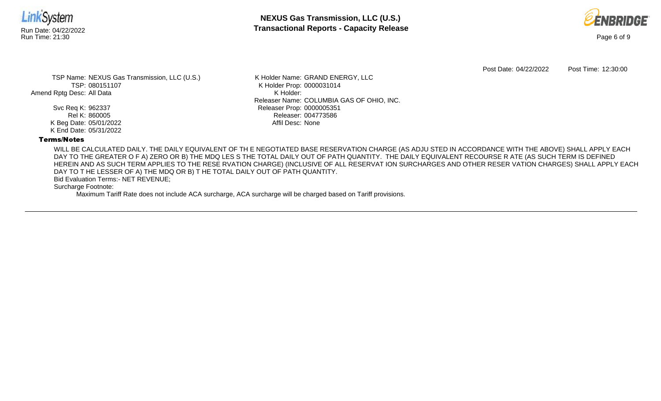

**NEXUS Gas Transmission, LLC (U.S.)** Run Date: 04/22/2022 **Transactional Reports - Capacity Release**



Post Date: 04/22/2022 Post Time: 12:30:00

TSP Name: NEXUS Gas Transmission, LLC (U.S.) TSP: 080151107 Amend Rptg Desc: All Data

> Svc Req K: 962337 Rel K: 860005 K Beg Date: 05/01/2022 K End Date: 05/31/2022

K Holder Name: GRAND ENERGY, LLC K Holder Prop: 0000031014 K Holder: Releaser Name: COLUMBIA GAS OF OHIO, INC. Releaser Prop: 0000005351 Releaser: 004773586 Affil Desc: None

### Terms/Notes

WILL BE CALCULATED DAILY. THE DAILY EQUIVALENT OF TH E NEGOTIATED BASE RESERVATION CHARGE (AS ADJU STED IN ACCORDANCE WITH THE ABOVE) SHALL APPLY EACH DAY TO THE GREATER O F A) ZERO OR B) THE MDQ LES S THE TOTAL DAILY OUT OF PATH QUANTITY. THE DAILY EQUIVALENT RECOURSE R ATE (AS SUCH TERM IS DEFINED HEREIN AND AS SUCH TERM APPLIES TO THE RESE RVATION CHARGE) (INCLUSIVE OF ALL RESERVAT ION SURCHARGES AND OTHER RESER VATION CHARGES) SHALL APPLY EACH DAY TO T HE LESSER OF A) THE MDQ OR B) T HE TOTAL DAILY OUT OF PATH QUANTITY.

Bid Evaluation Terms:- NET REVENUE;

Surcharge Footnote:

Maximum Tariff Rate does not include ACA surcharge, ACA surcharge will be charged based on Tariff provisions.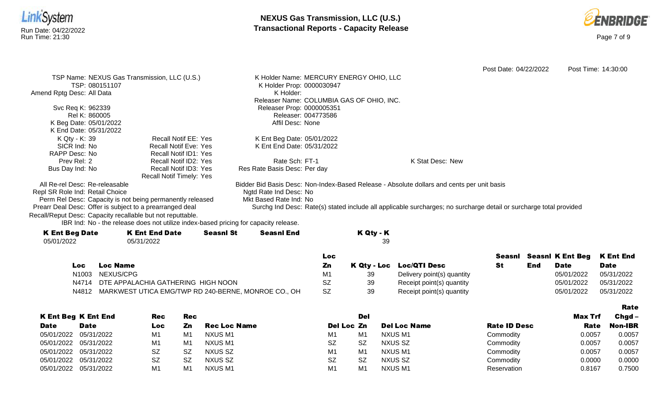



Post Date: 04/22/2022 Post Time: 14:30:00 TSP Name: NEXUS Gas Transmission, LLC (U.S.) TSP: 080151107 Amend Rptg Desc: All Data Svc Req K: 962339 Rel K: 860005 K Beg Date: 05/01/2022 K End Date: 05/31/2022 K Holder Name: MERCURY ENERGY OHIO, LLC K Holder Prop: 0000030947 K Holder: Releaser Name: COLUMBIA GAS OF OHIO, INC. Releaser Prop: 0000005351 Releaser: 004773586 Affil Desc: None K Qty - K: 39 SICR Ind: No RAPP Desc: No Prev Rel: 2 Bus Day Ind: No Recall Notif EE: Yes Recall Notif Eve: Yes Recall Notif ID1: Yes Recall Notif ID2: Yes Recall Notif ID3: Yes Recall Notif Timely: Yes K Ent Beg Date: 05/01/2022 K Ent End Date: 05/31/2022 Rate Sch: FT-1 Res Rate Basis Desc: Per day K Stat Desc: New All Re-rel Desc: Re-releasable Repl SR Role Ind: Retail Choice Perm Rel Desc: Capacity is not being permanently released Prearr Deal Desc: Offer is subject to a prearranged deal Bidder Bid Basis Desc: Non-Index-Based Release - Absolute dollars and cents per unit basis Ngtd Rate Ind Desc: No Mkt Based Rate Ind: No Surchg Ind Desc: Rate(s) stated include all applicable surcharges; no surcharge detail or surcharge total provided

Recall/Reput Desc: Capacity recallable but not reputtable.

IBR Ind: No - the release does not utilize index-based pricing for capacity release.

| <b>K Ent Beg Date</b> | <b>K Ent End Date</b> | <b>Seasnl St</b> | <b>Seasnl End</b> | K Qty - K |
|-----------------------|-----------------------|------------------|-------------------|-----------|
| 05/01/2022            | 05/31/2022            |                  |                   | 39        |
|                       |                       |                  |                   |           |

|     |                                                           | Loc       |    |                            |     | Seasni Seasni K Ent Beg K Ent End |             |
|-----|-----------------------------------------------------------|-----------|----|----------------------------|-----|-----------------------------------|-------------|
| Loc | Loc Name                                                  | Zn        |    | K Qty - Loc Loc/QTI Desc   | End | Date                              | <b>Date</b> |
|     | N1003 NEXUS/CPG                                           | M1        | 39 | Delivery point(s) quantity |     | 05/01/2022                        | 05/31/2022  |
|     | N4714 DTE APPALACHIA GATHERING HIGH NOON                  | SZ        | 39 | Receipt point(s) quantity  |     | 05/01/2022                        | 05/31/2022  |
|     | N4812 MARKWEST UTICA EMG/TWP RD 240-BERNE, MONROE CO., OH | <b>SZ</b> | 39 | Receipt point(s) quantity  |     | 05/01/2022                        | 05/31/2022  |

|             |                            |           |            |                     |                |           |                     |                     |         | Rate           |
|-------------|----------------------------|-----------|------------|---------------------|----------------|-----------|---------------------|---------------------|---------|----------------|
|             | <b>K Ent Beg K Ent End</b> | Rec       | <b>Rec</b> |                     |                | Del       |                     |                     | Max Trf | $Chgd -$       |
| <b>Date</b> | <b>Date</b>                | Loc       | Zn         | <b>Rec Loc Name</b> | Del Loc Zn     |           | <b>Del Loc Name</b> | <b>Rate ID Desc</b> | Rate    | <b>Non-IBR</b> |
|             | 05/01/2022 05/31/2022      | M1        | M1         | NXUS M1             | M <sub>1</sub> | M1        | NXUS M1             | Commodity           | 0.0057  | 0.0057         |
|             | 05/01/2022 05/31/2022      | M1        | M1         | NXUS M1             | <b>SZ</b>      | <b>SZ</b> | NXUS SZ             | Commodity           | 0.0057  | 0.0057         |
|             | 05/01/2022 05/31/2022      | <b>SZ</b> | <b>SZ</b>  | NXUS SZ             | M <sub>1</sub> | M1        | NXUS M1             | Commodity           | 0.0057  | 0.0057         |
|             | 05/01/2022 05/31/2022      | <b>SZ</b> | <b>SZ</b>  | NXUS SZ             | <b>SZ</b>      | <b>SZ</b> | NXUS SZ             | Commodity           | 0.0000  | 0.0000         |
|             | 05/01/2022 05/31/2022      | M1        | M1         | NXUS M1             | M <sub>1</sub> | M1        | NXUS M1             | Reservation         | 0.8167  | 0.7500         |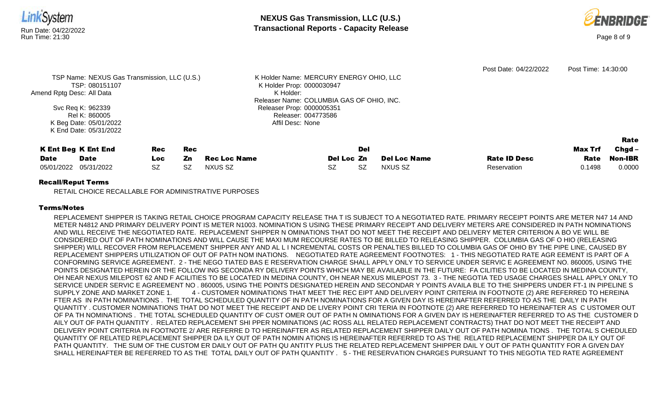

## Recall/Reput Terms

RETAIL CHOICE RECALLABLE FOR ADMINISTRATIVE PURPOSES

## Terms/Notes

REPLACEMENT SHIPPER IS TAKING RETAIL CHOICE PROGRAM CAPACITY RELEASE THA T IS SUBJECT TO A NEGOTIATED RATE. PRIMARY RECEIPT POINTS ARE METER N47 14 AND METER N4812 AND PRIMARY DELIVERY POINT IS METER N1003. NOMINATION S USING THESE PRIMARY RECEIPT AND DELIVERY METERS ARE CONSIDERED IN PATH NOMINATIONS AND WILL RECEIVE THE NEGOTIATED RATE. REPLACEMENT SHIPPER N OMINATIONS THAT DO NOT MEET THE RECEIPT AND DELIVERY METER CRITERION A BO VE WILL BE CONSIDERED OUT OF PATH NOMINATIONS AND WILL CAUSE THE MAXI MUM RECOURSE RATES TO BE BILLED TO RELEASING SHIPPER. COLUMBIA GAS OF O HIO (RELEASING SHIPPER) WILL RECOVER FROM REPLACEMENT SHIPPER ANY AND AL L I NCREMENTAL COSTS OR PENALTIES BILLED TO COLUMBIA GAS OF OHIO BY THE PIPE LINE, CAUSED BY REPLACEMENT SHIPPERS UTILIZATION OF OUT OF PATH NOM INATIONS. NEGOTIATED RATE AGREEMENT FOOTNOTES: 1 - THIS NEGOTIATED RATE AGR EEMENT IS PART OF A CONFORMING SERVICE AGREEMENT. 2 - THE NEGO TIATED BAS E RESERVATION CHARGE SHALL APPLY ONLY TO SERVICE UNDER SERVIC E AGREEMENT NO. 860005, USING THE POINTS DESIGNATED HEREIN OR THE FOLLOW ING SECONDA RY DELIVERY POINTS WHICH MAY BE AVAILABLE IN THE FUTURE: FA CILITIES TO BE LOCATED IN MEDINA COUNTY, OH NEAR NEXUS MILEPOST 62 AND F ACILITIES TO BE LOCATED IN MEDINA COUNTY, OH NEAR NEXUS MILEPOST 73. 3 - THE NEGOTIA TED USAGE CHARGES SHALL APPLY ONLY TO SERVICE UNDER SERVIC E AGREEMENT NO . 860005, USING THE POINTS DESIGNATED HEREIN AND SECONDAR Y POINTS AVAILA BLE TO THE SHIPPERS UNDER FT-1 IN PIPELINE S SUPPLY ZONE AND MARKET ZONE 1. 4 - CUSTOMER NOMINATIONS THAT MEET THE REC EIPT AND DELIVERY POINT CRITERIA IN FOOTNOTE (2) ARE REFERRED TO HEREINA FTER AS IN PATH NOMINATIONS . THE TOTAL SCHEDULED QUANTITY OF IN PATH NOMINATIONS FOR A GIVEN DAY IS HEREINAFTER REFERRED TO AS THE DAILY IN PATH QUANTITY . CUSTOMER NOMINATIONS THAT DO NOT MEET THE RECEIPT AND DE LIVERY POINT CRI TERIA IN FOOTNOTE (2) ARE REFERRED TO HEREINAFTER AS C USTOMER OUT OF PA TH NOMINATIONS . THE TOTAL SCHEDULED QUANTITY OF CUST OMER OUT OF PATH N OMINATIONS FOR A GIVEN DAY IS HEREINAFTER REFERRED TO AS THE CUSTOMER D AILY OUT OF PATH QUANTITY . RELATED REPLACEMENT SHI PPER NOMINATIONS (AC ROSS ALL RELATED REPLACEMENT CONTRACTS) THAT DO NOT MEET THE RECEIPT AND DELIVERY POINT CRITERIA IN FOOTNOTE 2/ ARE REFERRE D TO HEREINAFTER AS RELATED REPLACEMENT SHIPPER DAILY OUT OF PATH NOMINA TIONS . THE TOTAL S CHEDULED QUANTITY OF RELATED REPLACEMENT SHIPPER DA ILY OUT OF PATH NOMIN ATIONS IS HEREINAFTER REFERRED TO AS THE RELATED REPLACEMENT SHIPPER DA ILY OUT OF PATH QUANTITY. THE SUM OF THE CUSTOM ER DAILY OUT OF PATH QU ANTITY PLUS THE RELATED REPLACEMENT SHIPPER DAIL Y OUT OF PATH QUANTITY FOR A GIVEN DAY SHALL HEREINAFTER BE REFERRED TO AS THE TOTAL DAILY OUT OF PATH QUANTITY . 5 - THE RESERVATION CHARGES PURSUANT TO THIS NEGOTIA TED RATE AGREEMENT